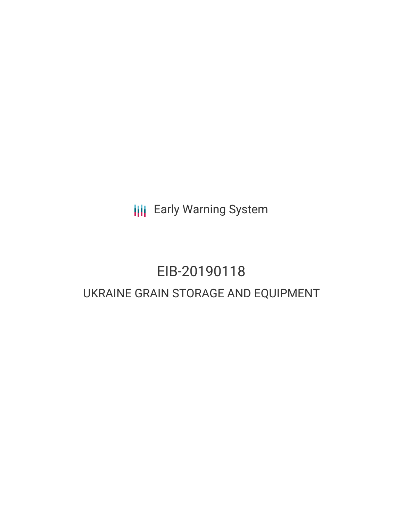**III** Early Warning System

# EIB-20190118 UKRAINE GRAIN STORAGE AND EQUIPMENT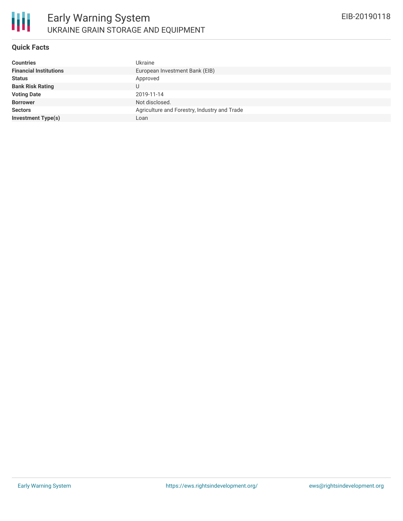

#### **Quick Facts**

| <b>Countries</b><br>Ukraine                                     |  |
|-----------------------------------------------------------------|--|
| <b>Financial Institutions</b><br>European Investment Bank (EIB) |  |
| <b>Status</b><br>Approved                                       |  |
| <b>Bank Risk Rating</b><br>U                                    |  |
| <b>Voting Date</b><br>2019-11-14                                |  |
| <b>Borrower</b><br>Not disclosed.                               |  |
| <b>Sectors</b><br>Agriculture and Forestry, Industry and Trade  |  |
| <b>Investment Type(s)</b><br>Loan                               |  |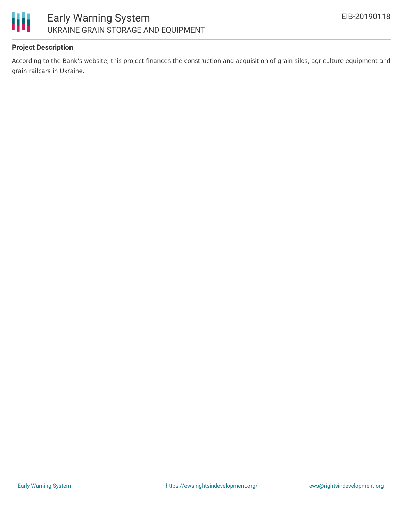

## **Project Description**

According to the Bank's website, this project finances the construction and acquisition of grain silos, agriculture equipment and grain railcars in Ukraine.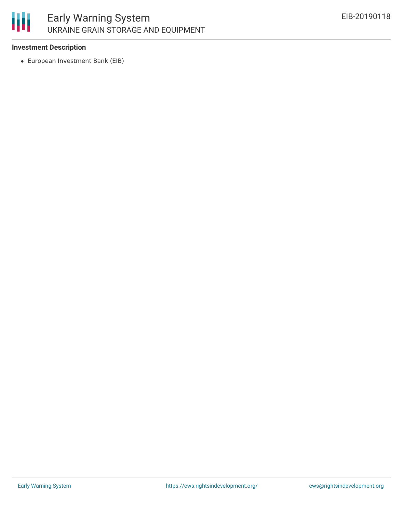

### **Investment Description**

European Investment Bank (EIB)